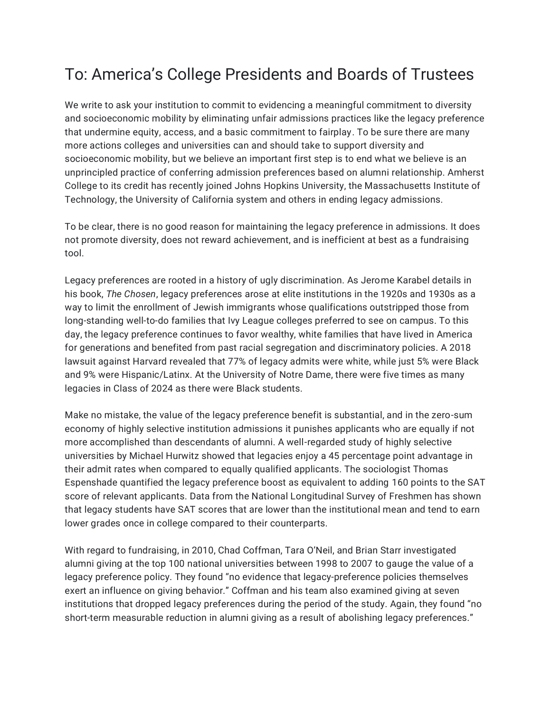## To: America's College Presidents and Boards of Trustees

We write to ask your institution to commit to evidencing a meaningful commitment to diversity and socioeconomic mobility by eliminating unfair admissions practices like the legacy preference that undermine equity, access, and a basic commitment to fairplay. To be sure there are many more actions colleges and universities can and should take to support diversity and socioeconomic mobility, but we believe an important first step is to end what we believe is an unprincipled practice of conferring admission preferences based on alumni relationship. Amherst College to its credit has recently joined Johns Hopkins University, the Massachusetts Institute of Technology, the University of California system and others in ending legacy admissions.

To be clear, there is no good reason for maintaining the legacy preference in admissions. It does not promote diversity, does not reward achievement, and is inefficient at best as a fundraising tool.

Legacy preferences are rooted in a history of ugly discrimination. As Jerome Karabel details in his book, *The Chosen*, legacy preferences arose at elite institutions in the 1920s and 1930s as a way to limit the enrollment of Jewish immigrants whose qualifications outstripped those from long-standing well-to-do families that Ivy League colleges preferred to see on campus. To this day, the legacy preference continues to favor wealthy, white families that have lived in America for generations and benefited from past racial segregation and discriminatory policies. A 2018 lawsuit against Harvard revealed that 77% of legacy admits were white, while just 5% were Black and 9% were Hispanic/Latinx. At the University of Notre Dame, there were five times as many legacies in Class of 2024 as there were Black students.

Make no mistake, the value of the legacy preference benefit is substantial, and in the zero-sum economy of highly selective institution admissions it punishes applicants who are equally if not more accomplished than descendants of alumni. A well-regarded study of highly selective universities by Michael Hurwitz showed that legacies enjoy a 45 percentage point advantage in their admit rates when compared to equally qualified applicants. The sociologist Thomas Espenshade quantified the legacy preference boost as equivalent to adding 160 points to the SAT score of relevant applicants. Data from the National Longitudinal Survey of Freshmen has shown that legacy students have SAT scores that are lower than the institutional mean and tend to earn lower grades once in college compared to their counterparts.

With regard to fundraising, in 2010, Chad Coffman, Tara O'Neil, and Brian Starr investigated alumni giving at the top 100 national universities between 1998 to 2007 to gauge the value of a legacy preference policy. They found "no evidence that legacy-preference policies themselves exert an influence on giving behavior." Coffman and his team also examined giving at seven institutions that dropped legacy preferences during the period of the study. Again, they found "no short-term measurable reduction in alumni giving as a result of abolishing legacy preferences."